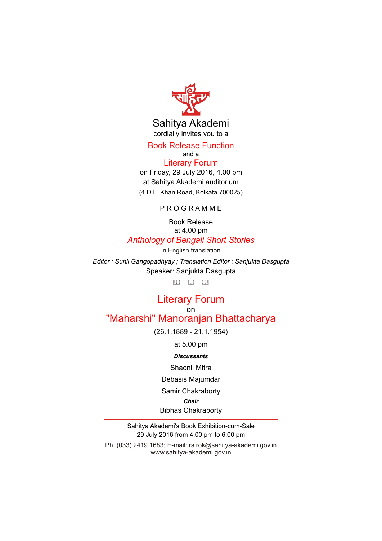

Sahitya Akademi cordially invites you to a

Book Release Function

and a on Friday, 29 July 2016, 4.00 pm at Sahitya Akademi auditorium (4 D.L. Khan Road, Kolkata 700025) Literary Forum

P R O G R A M M E

Book Release at 4.00 pm *Anthology of Bengali Short Stories*

*Editor : Sunil Gangopadhyay ; Translation Editor : Sanjukta Dasgupta* Speaker: Sanjukta Dasgupta in English translation

 $\Box$   $\Box$   $\Box$ 

## on Literary Forum "Maharshi" Manoranjan Bhattacharya

(26.1.1889 - 21.1.1954)

at 5.00 pm

*Discussants*

Shaonli Mitra

Debasis Majumdar

Samir Chakraborty

*Chair*

Bibhas Chakraborty

Sahitya Akademi's Book Exhibition-cum-Sale 29 July 2016 from 4.00 pm to 6.00 pm

Ph. (033) 2419 1683; E-mail: rs.rok@sahitya-akademi.gov.in www.sahitya-akademi.gov.in